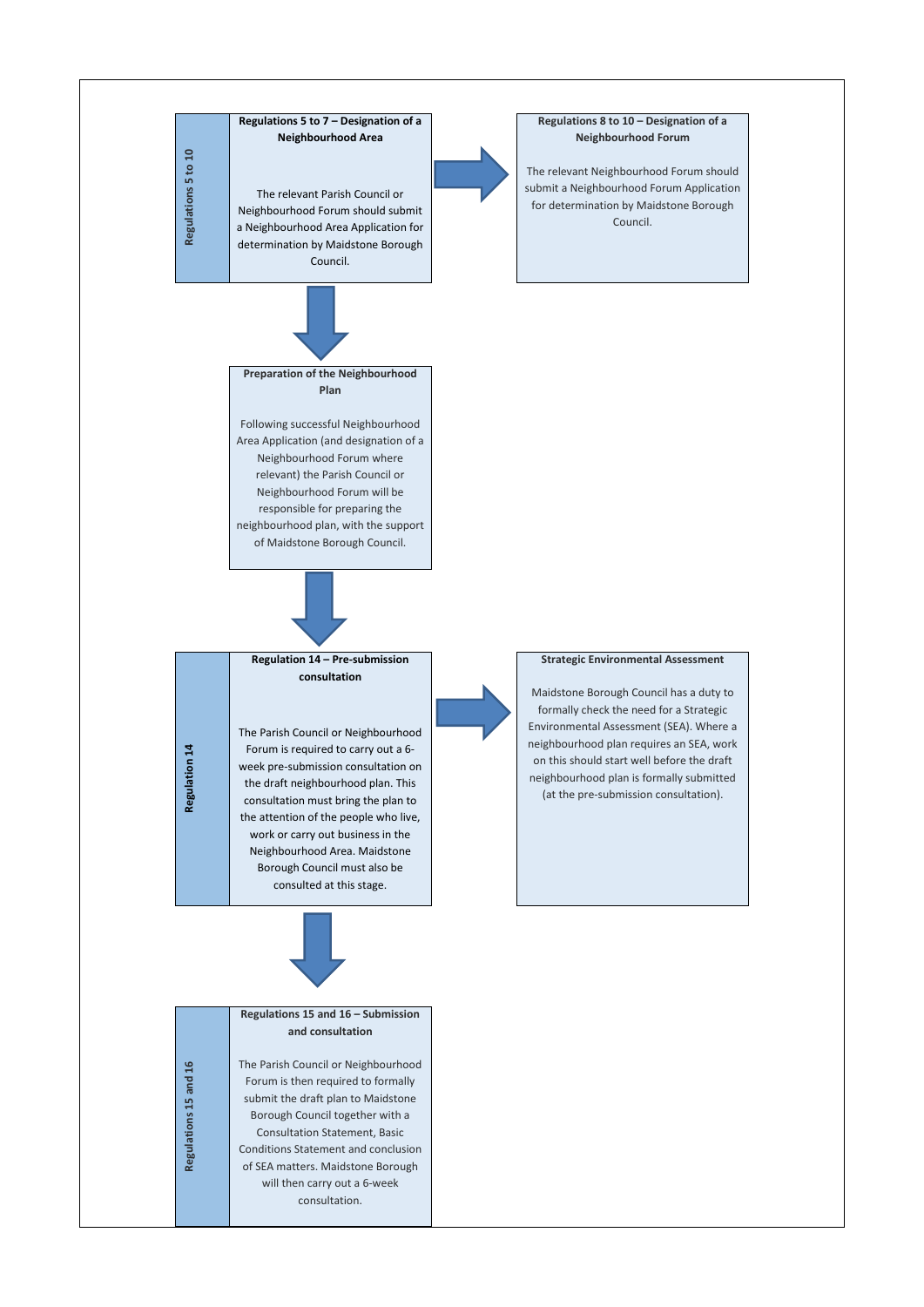**Regulations 5 to 10**

Regulations 5 to 10

## **Regulations 5 to 7 – Designation of a Neighbourhood Area**

The relevant Parish Council or Neighbourhood Forum should submit a Neighbourhood Area Application for determination by Maidstone Borough Council.



## **Regulations 8 to 10 – Designation of a Neighbourhood Forum**

The relevant Neighbourhood Forum should submit a Neighbourhood Forum Application for determination by Maidstone Borough Council.

Regulation 14 **Regulation 14**

## **Preparation of the Neighbourhood Plan**

Following successful Neighbourhood Area Application (and designation of a Neighbourhood Forum where relevant) the Parish Council or Neighbourhood Forum will be responsible for preparing the neighbourhood plan, with the support of Maidstone Borough Council.



**consultation**

The Parish Council or Neighbourhood Forum is required to carry out a 6 week pre-submission consultation on the draft neighbourhood plan. This consultation must bring the plan to the attention of the people who live, work or carry out business in the Neighbourhood Area. Maidstone Borough Council must also be consulted at this stage.

## **Strategic Environmental Assessment**

Maidstone Borough Council has a duty to formally check the need for a Strategic Environmental Assessment (SEA). Where a neighbourhood plan requires an SEA, work on this should start well before the draft neighbourhood plan is formally submitted (at the pre-submission consultation).